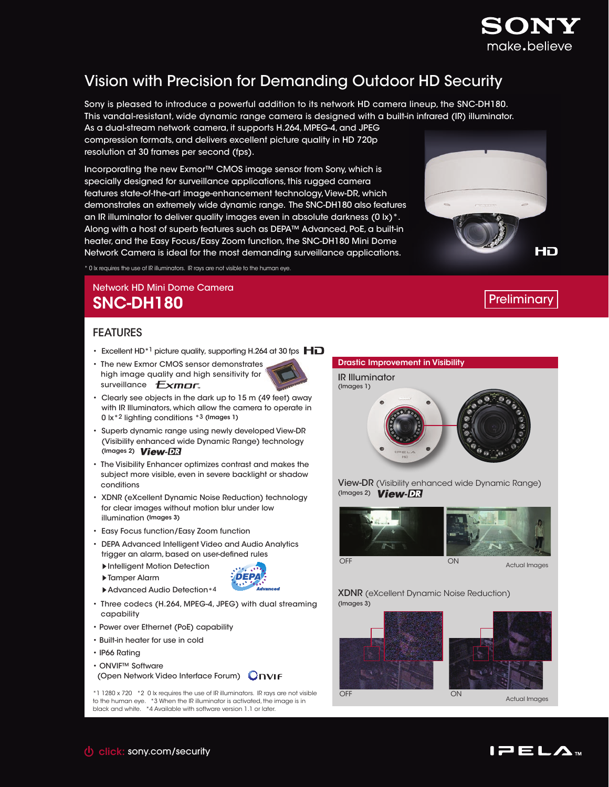

# Vision with Precision for Demanding Outdoor HD Security

Sony is pleased to introduce a powerful addition to its network HD camera lineup, the SNC-DH180. This vandal-resistant, wide dynamic range camera is designed with a built-in infrared (IR) illuminator. As a dual-stream network camera, it supports H.264, MPEG-4, and JPEG

compression formats, and delivers excellent picture quality in HD 720p resolution at 30 frames per second (fps).

Incorporating the new Exmor™ CMOS image sensor from Sony, which is specially designed for surveillance applications, this rugged camera features state-of-the-art image-enhancement technology, View-DR, which demonstrates an extremely wide dynamic range. The SNC-DH180 also features an IR illuminator to deliver quality images even in absolute darkness (0 lx)\*. Along with a host of superb features such as DEPA™ Advanced, PoE, a built-in heater, and the Easy Focus/Easy Zoom function, the SNC-DH180 Mini Dome Network Camera is ideal for the most demanding surveillance applications.

\* 0 lx requires the use of IR illuminators. IR rays are not visible to the human eye.

## Network HD Mini Dome Camera SNC-DH180 Preliminary and the contract of the contract of the preliminary preliminary

HD

### FEATURES

- Excellent HD<sup>\*1</sup> picture quality, supporting H.264 at 30 fps  $\mathbf{H}\mathbf{D}$
- The new Exmor CMOS sensor demonstrates high image quality and high sensitivity for surveillance  $Exmar$
- Clearly see objects in the dark up to 15 m (49 feet) away with IR Illuminators, which allow the camera to operate in 0 lx\*2 lighting conditions \*3 (Images 1)
- Superb dynamic range using newly developed View-DR (Visibility enhanced wide Dynamic Range) technology (Images 2) View-DR
- The Visibility Enhancer optimizes contrast and makes the subject more visible, even in severe backlight or shadow conditions
- XDNR (eXcellent Dynamic Noise Reduction) technology for clear images without motion blur under low illumination (Images 3)
- Easy Focus function/Easy Zoom function
- DEPA Advanced Intelligent Video and Audio Analytics trigger an alarm, based on user-defined rules
	- sIntelligent Motion Detection
	- ▶ Tamper Alarm
	- ▶ Advanced Audio Detection\*4
- Three codecs (H.264, MPEG-4, JPEG) with dual streaming capability

**DEPA** د. .

- Power over Ethernet (PoE) capability
- Built-in heater for use in cold
- IP66 Rating
- ONVIF™ Software
- (Open Network Video Interface Forum)

\*1 1280 x 720 \*2 0 lx requires the use of IR illuminators. IR rays are not visible to the human eye. \*3 When the IR illuminator is activated, the image is in black and white. \*4 Available with software version 1.1 or later.



View-DR (Visibility enhanced wide Dynamic Range) (Images 2) View-DR



OFF

Actual Images

XDNR (eXcellent Dynamic Noise Reduction) (Images 3)





Actual Images